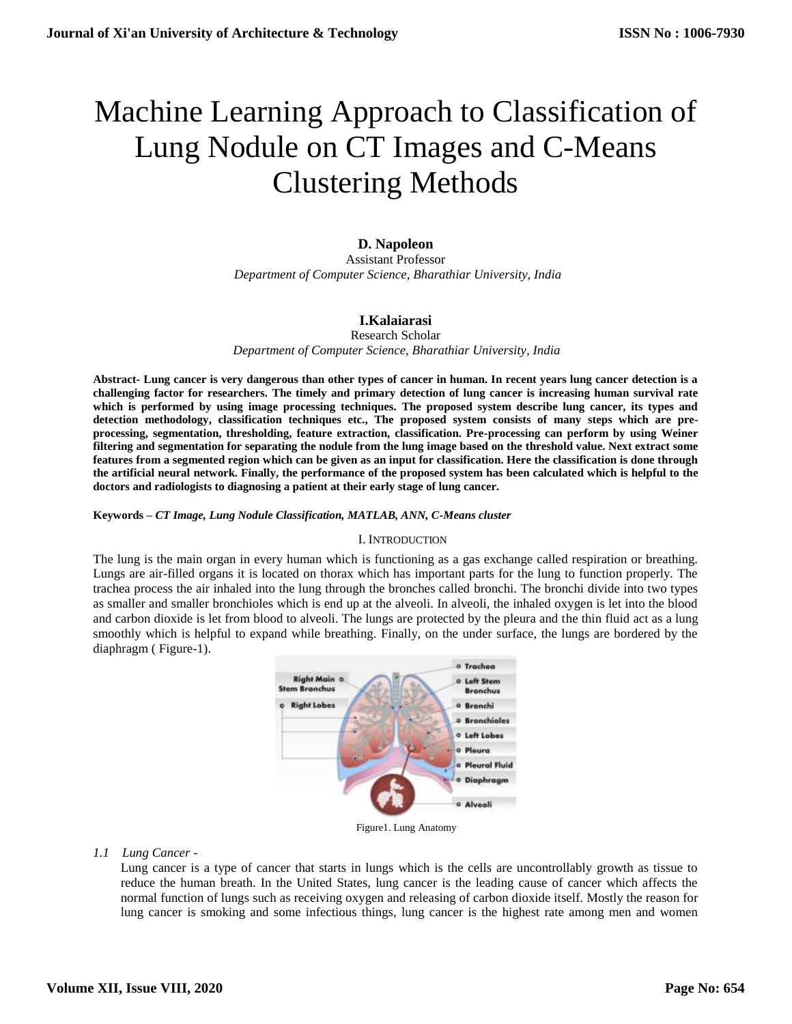# Machine Learning Approach to Classification of Lung Nodule on CT Images and C-Means Clustering Methods

# **D. Napoleon**

Assistant Professor  *Department of Computer Science, Bharathiar University, India*

# **I.Kalaiarasi**

Research Scholar

*Department of Computer Science, Bharathiar University, India*

**Abstract- Lung cancer is very dangerous than other types of cancer in human. In recent years lung cancer detection is a challenging factor for researchers. The timely and primary detection of lung cancer is increasing human survival rate which is performed by using image processing techniques. The proposed system describe lung cancer, its types and detection methodology, classification techniques etc., The proposed system consists of many steps which are preprocessing, segmentation, thresholding, feature extraction, classification. Pre-processing can perform by using Weiner filtering and segmentation for separating the nodule from the lung image based on the threshold value. Next extract some features from a segmented region which can be given as an input for classification. Here the classification is done through the artificial neural network. Finally, the performance of the proposed system has been calculated which is helpful to the doctors and radiologists to diagnosing a patient at their early stage of lung cancer.**

## **Keywords –** *CT Image, Lung Nodule Classification, MATLAB, ANN, C-Means cluster*

## I. INTRODUCTION

The lung is the main organ in every human which is functioning as a gas exchange called respiration or breathing. Lungs are air-filled organs it is located on thorax which has important parts for the lung to function properly. The trachea process the air inhaled into the lung through the bronches called bronchi. The bronchi divide into two types as smaller and smaller bronchioles which is end up at the alveoli. In alveoli, the inhaled oxygen is let into the blood and carbon dioxide is let from blood to alveoli. The lungs are protected by the pleura and the thin fluid act as a lung smoothly which is helpful to expand while breathing. Finally, on the under surface, the lungs are bordered by the diaphragm ( Figure-1).



Figure1. Lung Anatomy

## *1.1 Lung Cancer -*

Lung cancer is a type of cancer that starts in lungs which is the cells are uncontrollably growth as tissue to reduce the human breath. In the United States, lung cancer is the leading cause of cancer which affects the normal function of lungs such as receiving oxygen and releasing of carbon dioxide itself. Mostly the reason for lung cancer is smoking and some infectious things, lung cancer is the highest rate among men and women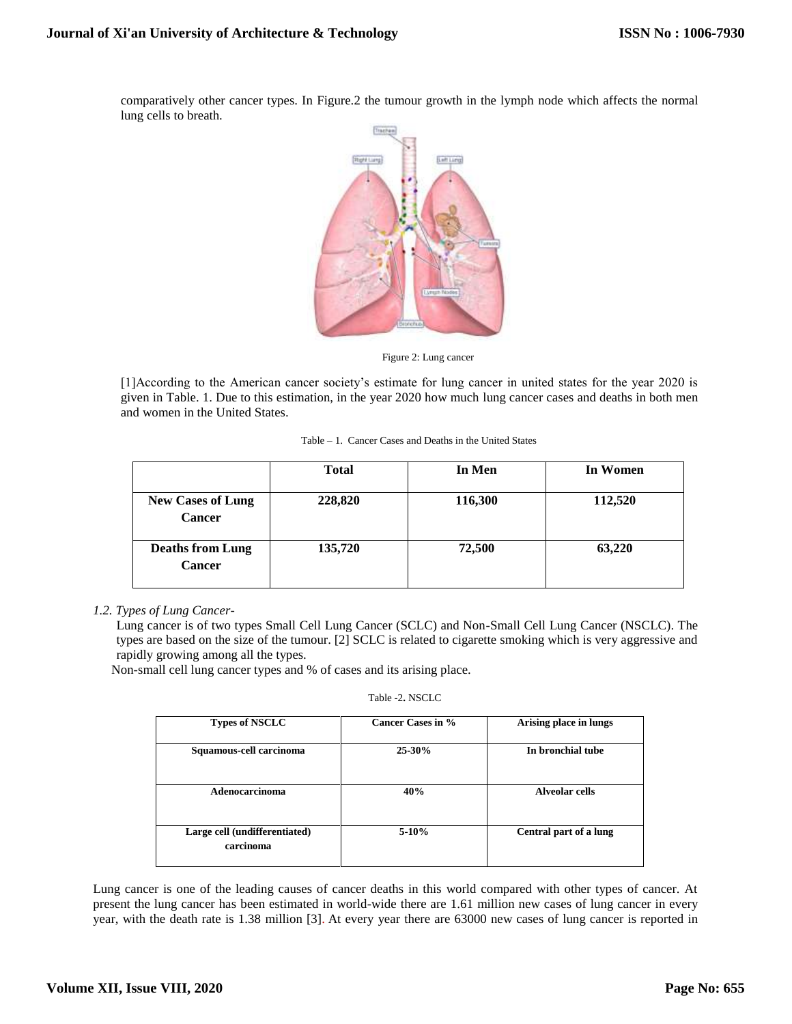comparatively other cancer types. In Figure.2 the tumour growth in the lymph node which affects the normal lung cells to breath.



Figure 2: Lung cancer

[1]According to the American cancer society's estimate for lung cancer in united states for the year 2020 is given in Table. 1. Due to this estimation, in the year 2020 how much lung cancer cases and deaths in both men and women in the United States.

| Table – 1. Cancer Cases and Deaths in the United States |  |  |  |  |  |  |  |  |
|---------------------------------------------------------|--|--|--|--|--|--|--|--|
|---------------------------------------------------------|--|--|--|--|--|--|--|--|

|                                           | <b>Total</b> | In Men  | In Women |
|-------------------------------------------|--------------|---------|----------|
| <b>New Cases of Lung</b><br><b>Cancer</b> | 228,820      | 116,300 | 112,520  |
| <b>Deaths from Lung</b><br><b>Cancer</b>  | 135,720      | 72,500  | 63,220   |

## *1.2. Types of Lung Cancer-*

Lung cancer is of two types Small Cell Lung Cancer (SCLC) and Non-Small Cell Lung Cancer (NSCLC). The types are based on the size of the tumour. [2] SCLC is related to cigarette smoking which is very aggressive and rapidly growing among all the types.

Non-small cell lung cancer types and % of cases and its arising place.

|  | Table -2. NSCLC |
|--|-----------------|
|--|-----------------|

| <b>Types of NSCLC</b>                      | Cancer Cases in % | Arising place in lungs |
|--------------------------------------------|-------------------|------------------------|
| Squamous-cell carcinoma                    | $25 - 30%$        | In bronchial tube      |
| Adenocarcinoma                             | 40%               | Alveolar cells         |
| Large cell (undifferentiated)<br>carcinoma | $5-10%$           | Central part of a lung |

Lung cancer is one of the leading causes of cancer deaths in this world compared with other types of cancer. At present the lung cancer has been estimated in world-wide there are 1.61 million new cases of lung cancer in every year, with the death rate is 1.38 million [3]. At every year there are 63000 new cases of lung cancer is reported in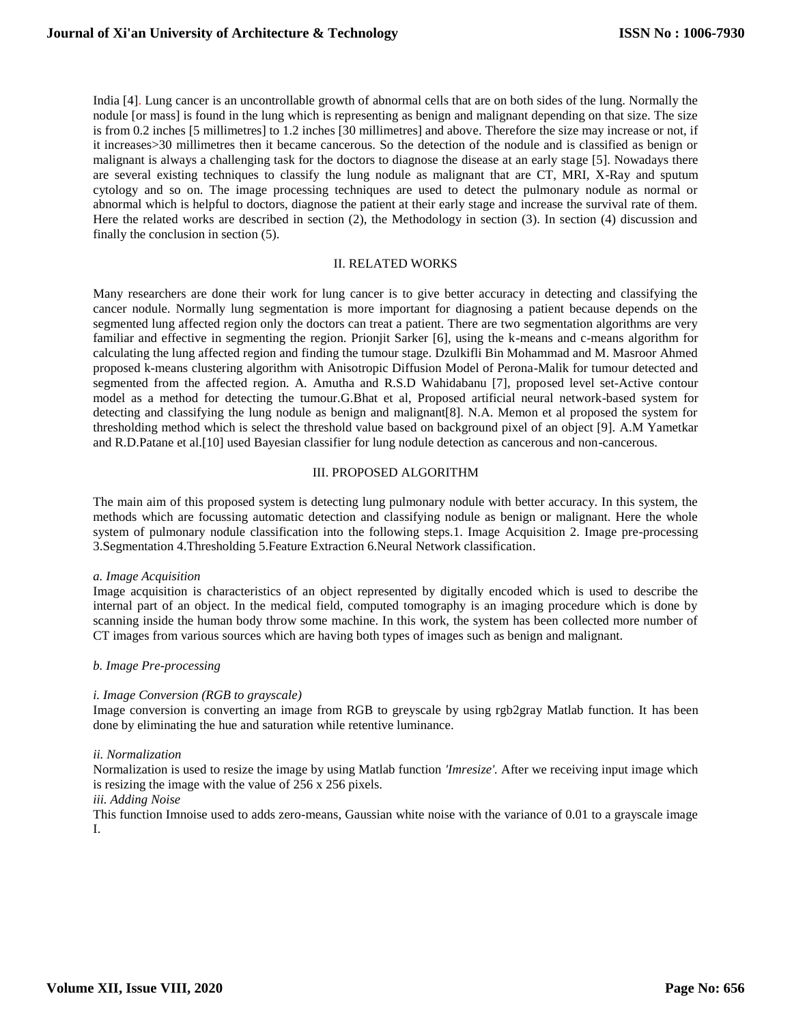India [4]. Lung cancer is an uncontrollable growth of abnormal cells that are on both sides of the lung. Normally the nodule [or mass] is found in the lung which is representing as benign and malignant depending on that size. The size is from 0.2 inches [5 millimetres] to 1.2 inches [30 millimetres] and above. Therefore the size may increase or not, if it increases>30 millimetres then it became cancerous. So the detection of the nodule and is classified as benign or malignant is always a challenging task for the doctors to diagnose the disease at an early stage [5]. Nowadays there are several existing techniques to classify the lung nodule as malignant that are CT, MRI, X-Ray and sputum cytology and so on. The image processing techniques are used to detect the pulmonary nodule as normal or abnormal which is helpful to doctors, diagnose the patient at their early stage and increase the survival rate of them. Here the related works are described in section (2), the Methodology in section (3). In section (4) discussion and finally the conclusion in section (5).

## II. RELATED WORKS

Many researchers are done their work for lung cancer is to give better accuracy in detecting and classifying the cancer nodule. Normally lung segmentation is more important for diagnosing a patient because depends on the segmented lung affected region only the doctors can treat a patient. There are two segmentation algorithms are very familiar and effective in segmenting the region. Prionjit Sarker [6], using the k-means and c-means algorithm for calculating the lung affected region and finding the tumour stage. Dzulkifli Bin Mohammad and M. Masroor Ahmed proposed k-means clustering algorithm with Anisotropic Diffusion Model of Perona-Malik for tumour detected and segmented from the affected region. A. Amutha and R.S.D Wahidabanu [7], proposed level set-Active contour model as a method for detecting the tumour.G.Bhat et al, Proposed artificial neural network-based system for detecting and classifying the lung nodule as benign and malignant[8]. N.A. Memon et al proposed the system for thresholding method which is select the threshold value based on background pixel of an object [9]. A.M Yametkar and R.D.Patane et al.[10] used Bayesian classifier for lung nodule detection as cancerous and non-cancerous.

#### III. PROPOSED ALGORITHM

The main aim of this proposed system is detecting lung pulmonary nodule with better accuracy. In this system, the methods which are focussing automatic detection and classifying nodule as benign or malignant. Here the whole system of pulmonary nodule classification into the following steps.1. Image Acquisition 2. Image pre-processing 3.Segmentation 4.Thresholding 5.Feature Extraction 6.Neural Network classification.

*a. Image Acquisition*

Image acquisition is characteristics of an object represented by digitally encoded which is used to describe the internal part of an object. In the medical field, computed tomography is an imaging procedure which is done by scanning inside the human body throw some machine. In this work, the system has been collected more number of CT images from various sources which are having both types of images such as benign and malignant.

#### *b. Image Pre-processing*

## *i. Image Conversion (RGB to grayscale)*

Image conversion is converting an image from RGB to greyscale by using rgb2gray Matlab function. It has been done by eliminating the hue and saturation while retentive luminance.

## *ii. Normalization*

Normalization is used to resize the image by using Matlab function *'Imresize'.* After we receiving input image which is resizing the image with the value of 256 x 256 pixels.

# *iii. Adding Noise*

This function Imnoise used to adds zero-means, Gaussian white noise with the variance of 0.01 to a grayscale image I.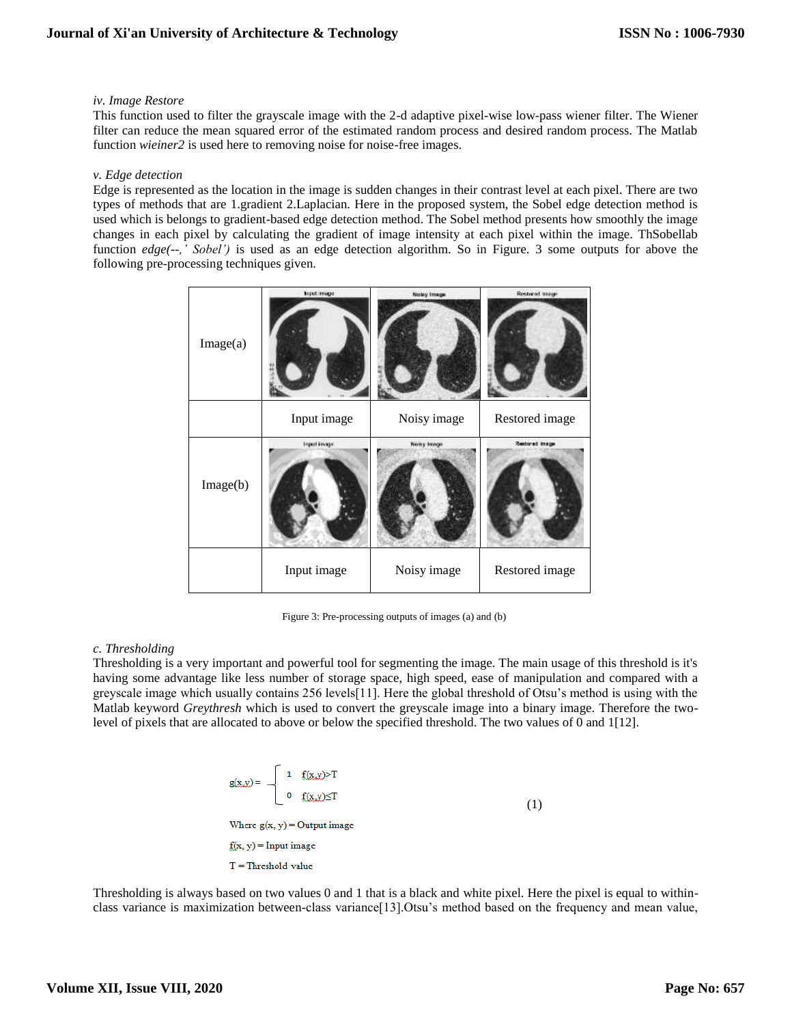## *iv. Image Restore*

This function used to filter the grayscale image with the 2-d adaptive pixel-wise low-pass wiener filter. The Wiener filter can reduce the mean squared error of the estimated random process and desired random process. The Matlab function *wieiner2* is used here to removing noise for noise-free images.

## *v. Edge detection*

Edge is represented as the location in the image is sudden changes in their contrast level at each pixel. There are two types of methods that are 1.gradient 2.Laplacian. Here in the proposed system, the Sobel edge detection method is used which is belongs to gradient-based edge detection method. The Sobel method presents how smoothly the image changes in each pixel by calculating the gradient of image intensity at each pixel within the image. ThSobellab function *edge*(--,' Sobel') is used as an edge detection algorithm. So in Figure. 3 some outputs for above the following pre-processing techniques given.

| Image(a) | <b>Input image</b> | Noby Image  | Restored treage |
|----------|--------------------|-------------|-----------------|
|          | Input image        | Noisy image | Restored image  |
| Image(b) | Input inage        | Noisy Image | Restored Image  |
|          | Input image        | Noisy image | Restored image  |

Figure 3: Pre-processing outputs of images (a) and (b)

# *c. Thresholding*

Thresholding is a very important and powerful tool for segmenting the image. The main usage of this threshold is it's having some advantage like less number of storage space, high speed, ease of manipulation and compared with a greyscale image which usually contains 256 levels[11]. Here the global threshold of Otsu's method is using with the Matlab keyword *Greythresh* which is used to convert the greyscale image into a binary image. Therefore the twolevel of pixels that are allocated to above or below the specified threshold. The two values of 0 and 1[12].

$$
g(x,y) = \begin{cases} 1 & f(x,y) > T \\ 0 & f(x,y) \le T \end{cases}
$$
  
(1)  
Where  $g(x, y) =$ Output image  
 $f(x, y) =$ Input image  
 $T =$  Threshold value

Thresholding is always based on two values 0 and 1 that is a black and white pixel. Here the pixel is equal to withinclass variance is maximization between-class variance[13].Otsu's method based on the frequency and mean value,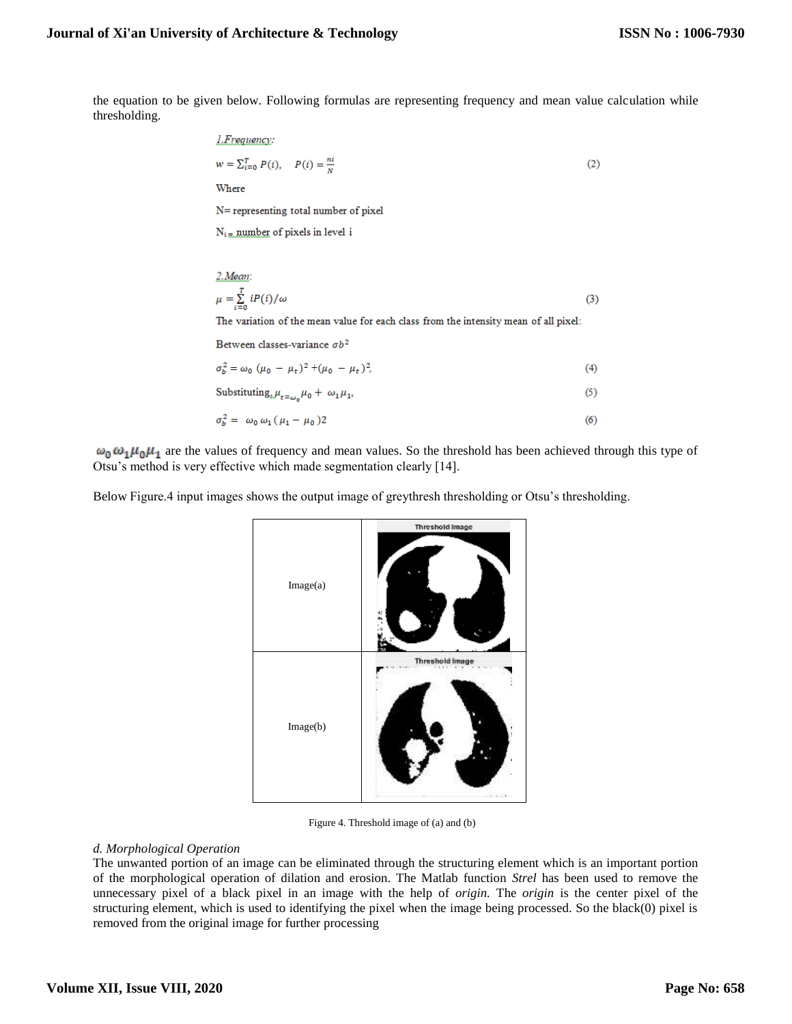$(3)$ 

the equation to be given below. Following formulas are representing frequency and mean value calculation while thresholding.

*1. Frequency:*  
\n
$$
w = \sum_{i=0}^{T} P(i), \quad P(i) = \frac{ni}{N}
$$
\nWhere  
\nN= representing total number of pixel  
\nN<sub>i</sub> = number of pixels in level i  
\n2. Mean:

 $\mu = \sum\limits_{i=0}^{T} iP(i)/\omega$ The variation of the mean value for each class from the intensity mean of all pixel:

Between classes-variance  $\sigma b^2$ 

| $\sigma_b^2 = \omega_0 \ (\mu_0 - \mu_t)^2 + (\mu_0 - \mu_t)^2$             | (4) |
|-----------------------------------------------------------------------------|-----|
| Substituting <sub><math>\mu_{t=\omega_0}\mu_0 + \omega_1\mu_1</math>.</sub> | (5) |
| $\sigma_b^2 = \omega_0 \omega_1 (\mu_1 - \mu_0) 2$                          | (6) |

 $\omega_0 \omega_1 \mu_0 \mu_1$  are the values of frequency and mean values. So the threshold has been achieved through this type of Otsu's method is very effective which made segmentation clearly [14].

Below Figure.4 input images shows the output image of greythresh thresholding or Otsu's thresholding.



Figure 4. Threshold image of (a) and (b)

## *d. Morphological Operation*

The unwanted portion of an image can be eliminated through the structuring element which is an important portion of the morphological operation of dilation and erosion. The Matlab function *Strel* has been used to remove the unnecessary pixel of a black pixel in an image with the help of *origin.* The *origin* is the center pixel of the structuring element, which is used to identifying the pixel when the image being processed. So the black(0) pixel is removed from the original image for further processing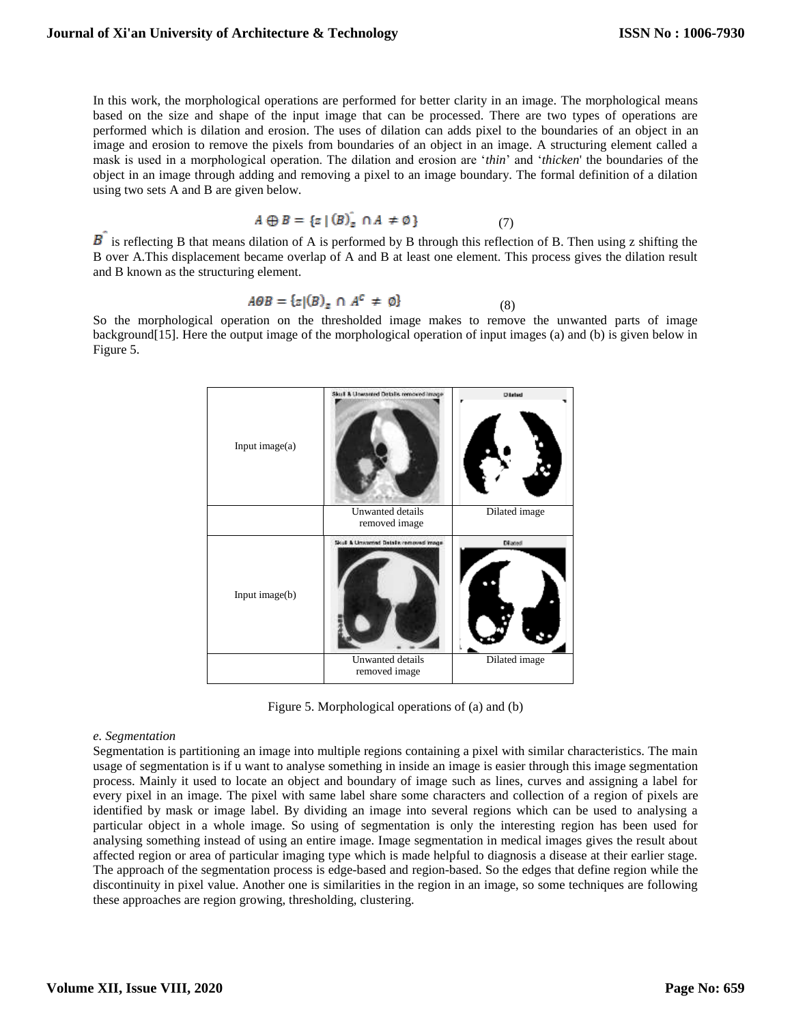In this work, the morphological operations are performed for better clarity in an image. The morphological means based on the size and shape of the input image that can be processed. There are two types of operations are performed which is dilation and erosion. The uses of dilation can adds pixel to the boundaries of an object in an image and erosion to remove the pixels from boundaries of an object in an image. A structuring element called a mask is used in a morphological operation. The dilation and erosion are '*thin*' and '*thicken*' the boundaries of the object in an image through adding and removing a pixel to an image boundary. The formal definition of a dilation using two sets A and B are given below.

$$
A \oplus B = \{ z \mid (B)_z \cap A \neq \emptyset \}
$$
 (7)

 $\overline{B}$  is reflecting B that means dilation of A is performed by B through this reflection of B. Then using z shifting the B over A.This displacement became overlap of A and B at least one element. This process gives the dilation result and B known as the structuring element.

$$
A\Theta B = \{z | (B)_z \cap A^c \neq \emptyset\} \tag{8}
$$

So the morphological operation on the thresholded image makes to remove the unwanted parts of image background[15]. Here the output image of the morphological operation of input images (a) and (b) is given below in Figure 5.



Figure 5. Morphological operations of (a) and (b)

#### *e. Segmentation*

Segmentation is partitioning an image into multiple regions containing a pixel with similar characteristics. The main usage of segmentation is if u want to analyse something in inside an image is easier through this image segmentation process. Mainly it used to locate an object and boundary of image such as lines, curves and assigning a label for every pixel in an image. The pixel with same label share some characters and collection of a region of pixels are identified by mask or image label. By dividing an image into several regions which can be used to analysing a particular object in a whole image. So using of segmentation is only the interesting region has been used for analysing something instead of using an entire image. Image segmentation in medical images gives the result about affected region or area of particular imaging type which is made helpful to diagnosis a disease at their earlier stage. The approach of the segmentation process is edge-based and region-based. So the edges that define region while the discontinuity in pixel value. Another one is similarities in the region in an image, so some techniques are following these approaches are region growing, thresholding, clustering.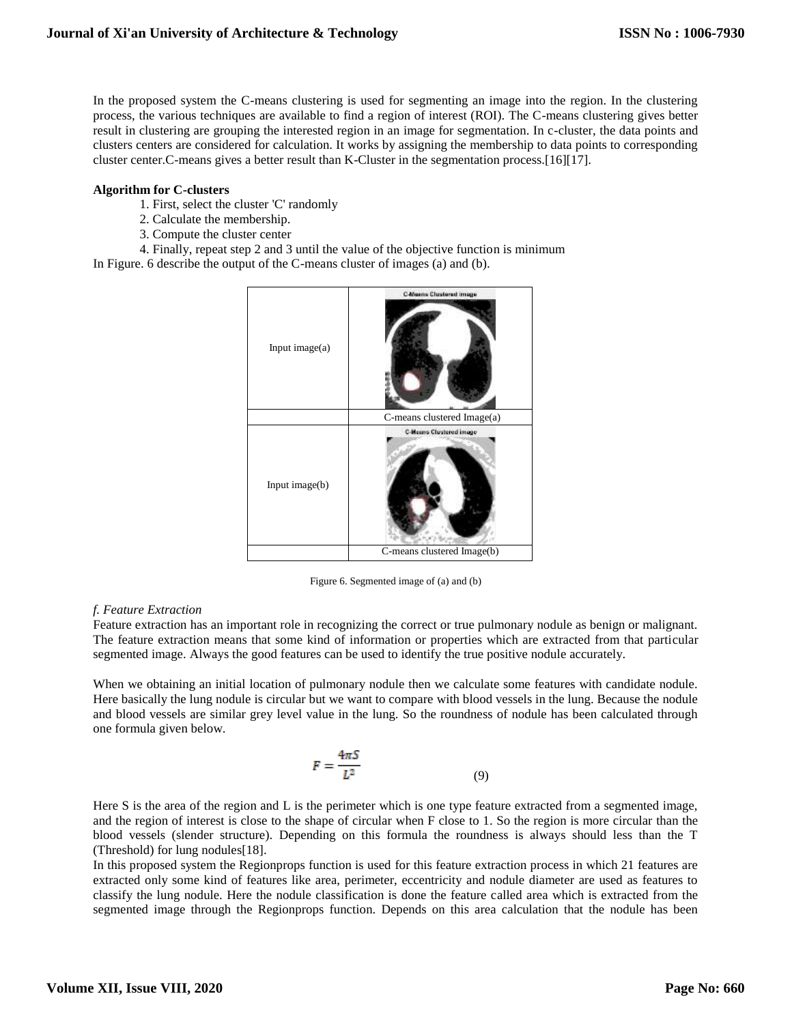In the proposed system the C-means clustering is used for segmenting an image into the region. In the clustering process, the various techniques are available to find a region of interest (ROI). The C-means clustering gives better result in clustering are grouping the interested region in an image for segmentation. In c-cluster, the data points and clusters centers are considered for calculation. It works by assigning the membership to data points to corresponding cluster center.C-means gives a better result than K-Cluster in the segmentation process.[16][17].

## **Algorithm for C-clusters**

- 1. First, select the cluster 'C' randomly
- 2. Calculate the membership.
- 3. Compute the cluster center
- 4. Finally, repeat step 2 and 3 until the value of the objective function is minimum

In Figure. 6 describe the output of the C-means cluster of images (a) and (b).



Figure 6. Segmented image of (a) and (b)

## *f. Feature Extraction*

Feature extraction has an important role in recognizing the correct or true pulmonary nodule as benign or malignant. The feature extraction means that some kind of information or properties which are extracted from that particular segmented image. Always the good features can be used to identify the true positive nodule accurately.

When we obtaining an initial location of pulmonary nodule then we calculate some features with candidate nodule. Here basically the lung nodule is circular but we want to compare with blood vessels in the lung. Because the nodule and blood vessels are similar grey level value in the lung. So the roundness of nodule has been calculated through one formula given below.

$$
F = \frac{4\pi S}{L^2} \tag{9}
$$

Here S is the area of the region and L is the perimeter which is one type feature extracted from a segmented image, and the region of interest is close to the shape of circular when F close to 1. So the region is more circular than the blood vessels (slender structure). Depending on this formula the roundness is always should less than the T (Threshold) for lung nodules[18].

In this proposed system the Regionprops function is used for this feature extraction process in which 21 features are extracted only some kind of features like area, perimeter, eccentricity and nodule diameter are used as features to classify the lung nodule. Here the nodule classification is done the feature called area which is extracted from the segmented image through the Regionprops function. Depends on this area calculation that the nodule has been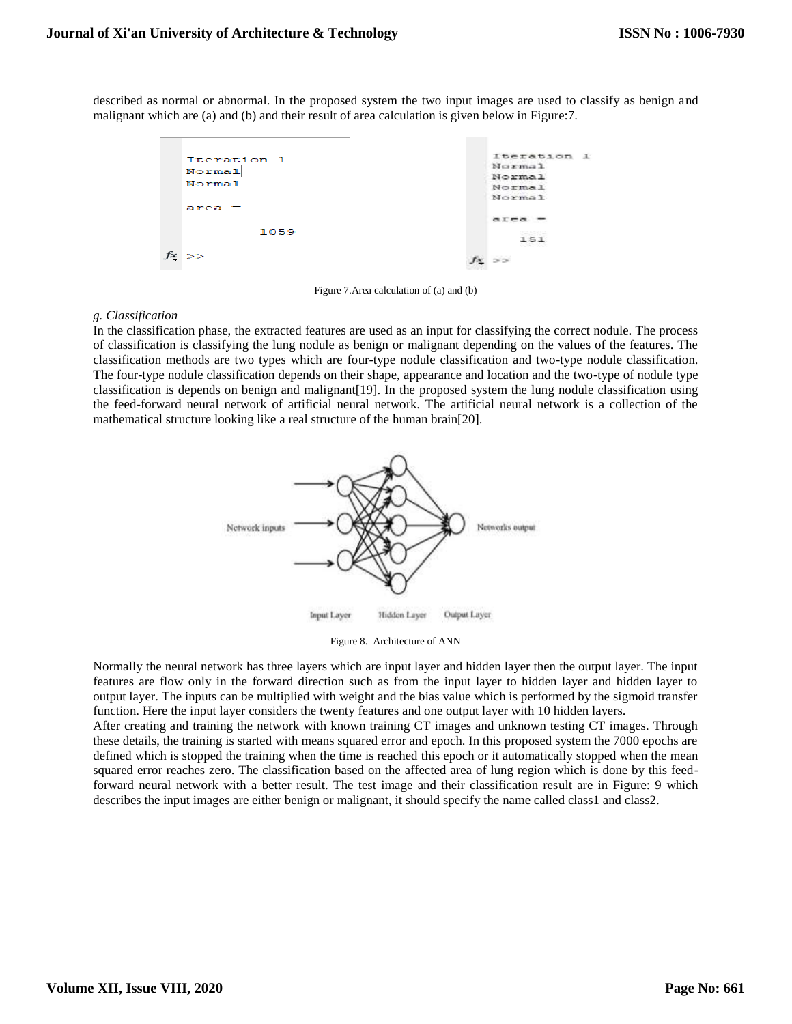described as normal or abnormal. In the proposed system the two input images are used to classify as benign and malignant which are (a) and (b) and their result of area calculation is given below in Figure:7.



Figure 7.Area calculation of (a) and (b)

## *g. Classification*

In the classification phase, the extracted features are used as an input for classifying the correct nodule. The process of classification is classifying the lung nodule as benign or malignant depending on the values of the features. The classification methods are two types which are four-type nodule classification and two-type nodule classification. The four-type nodule classification depends on their shape, appearance and location and the two-type of nodule type classification is depends on benign and malignant[19]. In the proposed system the lung nodule classification using the feed-forward neural network of artificial neural network. The artificial neural network is a collection of the mathematical structure looking like a real structure of the human brain[20].



Figure 8. Architecture of ANN

Normally the neural network has three layers which are input layer and hidden layer then the output layer. The input features are flow only in the forward direction such as from the input layer to hidden layer and hidden layer to output layer. The inputs can be multiplied with weight and the bias value which is performed by the sigmoid transfer function. Here the input layer considers the twenty features and one output layer with 10 hidden layers.

After creating and training the network with known training CT images and unknown testing CT images. Through these details, the training is started with means squared error and epoch. In this proposed system the 7000 epochs are defined which is stopped the training when the time is reached this epoch or it automatically stopped when the mean squared error reaches zero. The classification based on the affected area of lung region which is done by this feedforward neural network with a better result. The test image and their classification result are in Figure: 9 which describes the input images are either benign or malignant, it should specify the name called class1 and class2.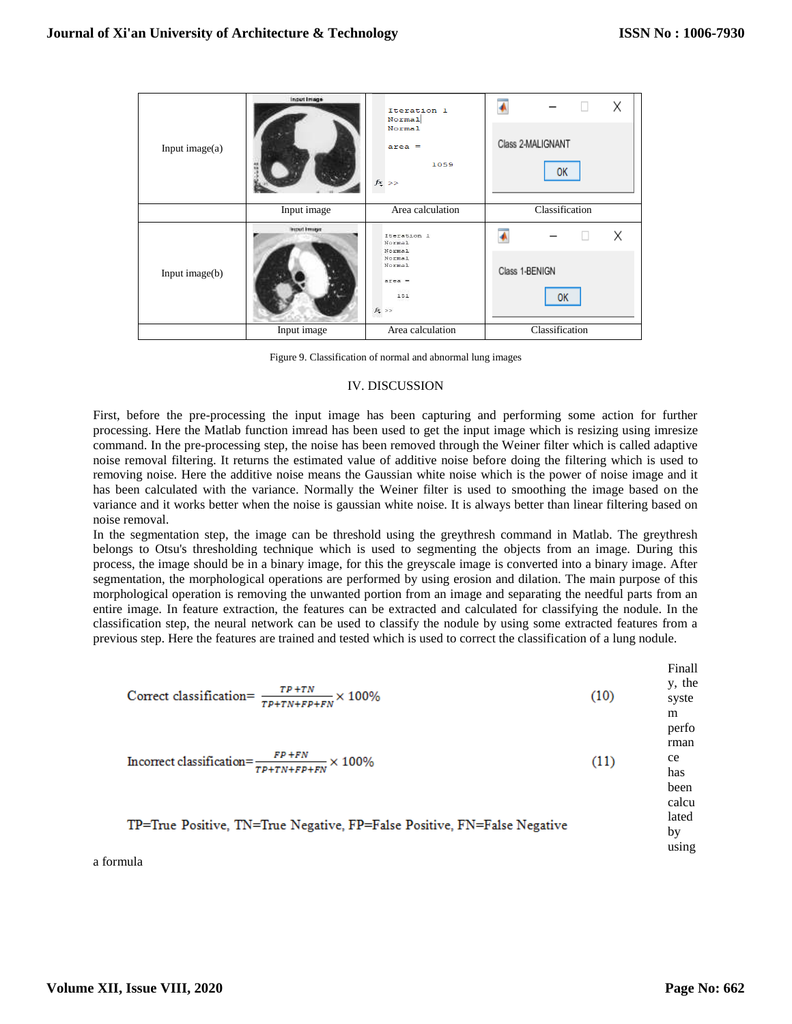| Input image $(a)$ | Input Image | Iteration 1<br>Normal<br>Normal<br>$area =$<br>1059<br>$f_{\frac{X}{2}} \; > >$    | Χ<br>Class 2-MALIGNANT<br>OК |  |  |
|-------------------|-------------|------------------------------------------------------------------------------------|------------------------------|--|--|
|                   | Input image | Area calculation                                                                   | Classification               |  |  |
| Input image(b)    | Input Image | Iteration 1<br>Normal<br>Normal<br>Normal<br>Normal<br>$area =$<br>151<br>$f_1$ >> | X                            |  |  |
|                   |             |                                                                                    | Class 1-BENIGN<br><b>OK</b>  |  |  |
|                   | Input image | Area calculation                                                                   | Classification               |  |  |

Figure 9. Classification of normal and abnormal lung images

## IV. DISCUSSION

First, before the pre-processing the input image has been capturing and performing some action for further processing. Here the Matlab function imread has been used to get the input image which is resizing using imresize command. In the pre-processing step, the noise has been removed through the Weiner filter which is called adaptive noise removal filtering. It returns the estimated value of additive noise before doing the filtering which is used to removing noise. Here the additive noise means the Gaussian white noise which is the power of noise image and it has been calculated with the variance. Normally the Weiner filter is used to smoothing the image based on the variance and it works better when the noise is gaussian white noise. It is always better than linear filtering based on noise removal.

In the segmentation step, the image can be threshold using the greythresh command in Matlab. The greythresh belongs to Otsu's thresholding technique which is used to segmenting the objects from an image. During this process, the image should be in a binary image, for this the greyscale image is converted into a binary image. After segmentation, the morphological operations are performed by using erosion and dilation. The main purpose of this morphological operation is removing the unwanted portion from an image and separating the needful parts from an entire image. In feature extraction, the features can be extracted and calculated for classifying the nodule. In the classification step, the neural network can be used to classify the nodule by using some extracted features from a previous step. Here the features are trained and tested which is used to correct the classification of a lung nodule.

Finall y, the Correct classification=  $\frac{TP+TN}{TP+TN+FP+FN}$  × 100%  $(10)$ syste m

$$
In correct classification = \frac{FP + FN}{TP + TN + FP + FN} \times 100\%
$$
\n(11)

# TP=True Positive, TN=True Negative, FP=False Positive, FN=False Negative

a formula

perfo rman ce has been calcu lated by using